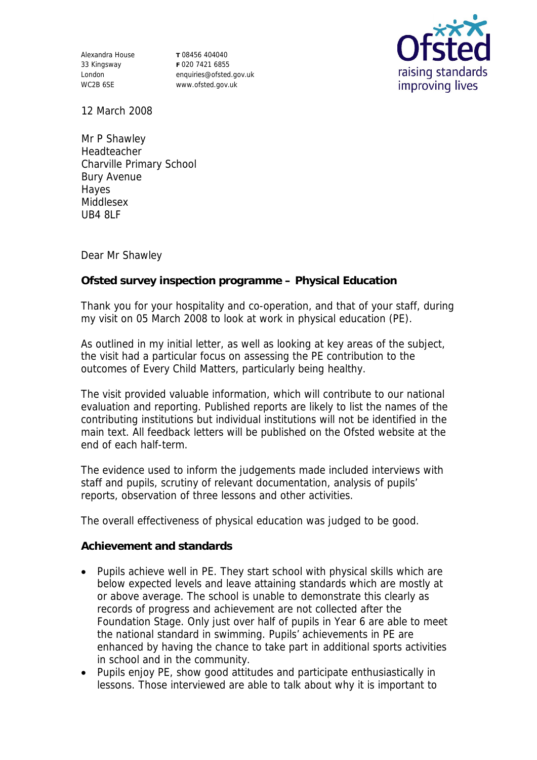Alexandra House 33 Kingsway London WC2B 6SE

**T** 08456 404040 **F** 020 7421 6855 enquiries@ofsted.gov.uk www.ofsted.gov.uk



12 March 2008

Mr P Shawley Headteacher Charville Primary School Bury Avenue Hayes Middlesex UB4 8LF

Dear Mr Shawley

## **Ofsted survey inspection programme – Physical Education**

Thank you for your hospitality and co-operation, and that of your staff, during my visit on 05 March 2008 to look at work in physical education (PE).

As outlined in my initial letter, as well as looking at key areas of the subject, the visit had a particular focus on assessing the PE contribution to the outcomes of Every Child Matters, particularly being healthy.

The visit provided valuable information, which will contribute to our national evaluation and reporting. Published reports are likely to list the names of the contributing institutions but individual institutions will not be identified in the main text. All feedback letters will be published on the Ofsted website at the end of each half-term.

The evidence used to inform the judgements made included interviews with staff and pupils, scrutiny of relevant documentation, analysis of pupils' reports, observation of three lessons and other activities.

The overall effectiveness of physical education was judged to be good.

**Achievement and standards** 

- Pupils achieve well in PE. They start school with physical skills which are below expected levels and leave attaining standards which are mostly at or above average. The school is unable to demonstrate this clearly as records of progress and achievement are not collected after the Foundation Stage. Only just over half of pupils in Year 6 are able to meet the national standard in swimming. Pupils' achievements in PE are enhanced by having the chance to take part in additional sports activities in school and in the community.
- Pupils enjoy PE, show good attitudes and participate enthusiastically in lessons. Those interviewed are able to talk about why it is important to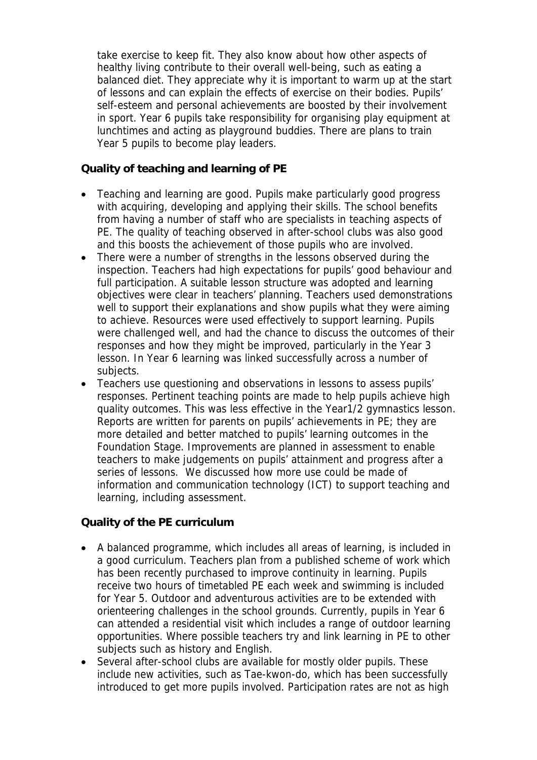take exercise to keep fit. They also know about how other aspects of healthy living contribute to their overall well-being, such as eating a balanced diet. They appreciate why it is important to warm up at the start of lessons and can explain the effects of exercise on their bodies. Pupils' self-esteem and personal achievements are boosted by their involvement in sport. Year 6 pupils take responsibility for organising play equipment at lunchtimes and acting as playground buddies. There are plans to train Year 5 pupils to become play leaders.

**Quality of teaching and learning of PE**

- Teaching and learning are good. Pupils make particularly good progress with acquiring, developing and applying their skills. The school benefits from having a number of staff who are specialists in teaching aspects of PE. The quality of teaching observed in after-school clubs was also good and this boosts the achievement of those pupils who are involved.
- There were a number of strengths in the lessons observed during the inspection. Teachers had high expectations for pupils' good behaviour and full participation. A suitable lesson structure was adopted and learning objectives were clear in teachers' planning. Teachers used demonstrations well to support their explanations and show pupils what they were aiming to achieve. Resources were used effectively to support learning. Pupils were challenged well, and had the chance to discuss the outcomes of their responses and how they might be improved, particularly in the Year 3 lesson. In Year 6 learning was linked successfully across a number of subjects.
- Teachers use questioning and observations in lessons to assess pupils' responses. Pertinent teaching points are made to help pupils achieve high quality outcomes. This was less effective in the Year1/2 gymnastics lesson. Reports are written for parents on pupils' achievements in PE; they are more detailed and better matched to pupils' learning outcomes in the Foundation Stage. Improvements are planned in assessment to enable teachers to make judgements on pupils' attainment and progress after a series of lessons. We discussed how more use could be made of information and communication technology (ICT) to support teaching and learning, including assessment.

**Quality of the PE curriculum** 

- A balanced programme, which includes all areas of learning, is included in a good curriculum. Teachers plan from a published scheme of work which has been recently purchased to improve continuity in learning. Pupils receive two hours of timetabled PE each week and swimming is included for Year 5. Outdoor and adventurous activities are to be extended with orienteering challenges in the school grounds. Currently, pupils in Year 6 can attended a residential visit which includes a range of outdoor learning opportunities. Where possible teachers try and link learning in PE to other subjects such as history and English.
- Several after-school clubs are available for mostly older pupils. These include new activities, such as Tae-kwon-do, which has been successfully introduced to get more pupils involved. Participation rates are not as high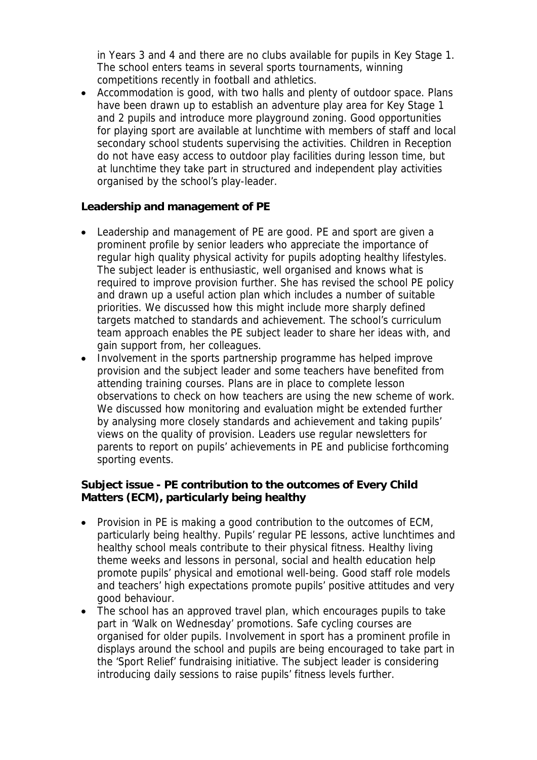in Years 3 and 4 and there are no clubs available for pupils in Key Stage 1. The school enters teams in several sports tournaments, winning competitions recently in football and athletics.

 Accommodation is good, with two halls and plenty of outdoor space. Plans have been drawn up to establish an adventure play area for Key Stage 1 and 2 pupils and introduce more playground zoning. Good opportunities for playing sport are available at lunchtime with members of staff and local secondary school students supervising the activities. Children in Reception do not have easy access to outdoor play facilities during lesson time, but at lunchtime they take part in structured and independent play activities organised by the school's play-leader.

**Leadership and management of PE**

- Leadership and management of PE are good. PE and sport are given a prominent profile by senior leaders who appreciate the importance of regular high quality physical activity for pupils adopting healthy lifestyles. The subject leader is enthusiastic, well organised and knows what is required to improve provision further. She has revised the school PE policy and drawn up a useful action plan which includes a number of suitable priorities. We discussed how this might include more sharply defined targets matched to standards and achievement. The school's curriculum team approach enables the PE subject leader to share her ideas with, and gain support from, her colleagues.
- Involvement in the sports partnership programme has helped improve provision and the subject leader and some teachers have benefited from attending training courses. Plans are in place to complete lesson observations to check on how teachers are using the new scheme of work. We discussed how monitoring and evaluation might be extended further by analysing more closely standards and achievement and taking pupils' views on the quality of provision. Leaders use regular newsletters for parents to report on pupils' achievements in PE and publicise forthcoming sporting events.

**Subject issue - PE contribution to the outcomes of Every Child Matters (ECM), particularly being healthy**

- Provision in PE is making a good contribution to the outcomes of ECM, particularly being healthy. Pupils' regular PE lessons, active lunchtimes and healthy school meals contribute to their physical fitness. Healthy living theme weeks and lessons in personal, social and health education help promote pupils' physical and emotional well-being. Good staff role models and teachers' high expectations promote pupils' positive attitudes and very good behaviour.
- The school has an approved travel plan, which encourages pupils to take part in 'Walk on Wednesday' promotions. Safe cycling courses are organised for older pupils. Involvement in sport has a prominent profile in displays around the school and pupils are being encouraged to take part in the 'Sport Relief' fundraising initiative. The subject leader is considering introducing daily sessions to raise pupils' fitness levels further.